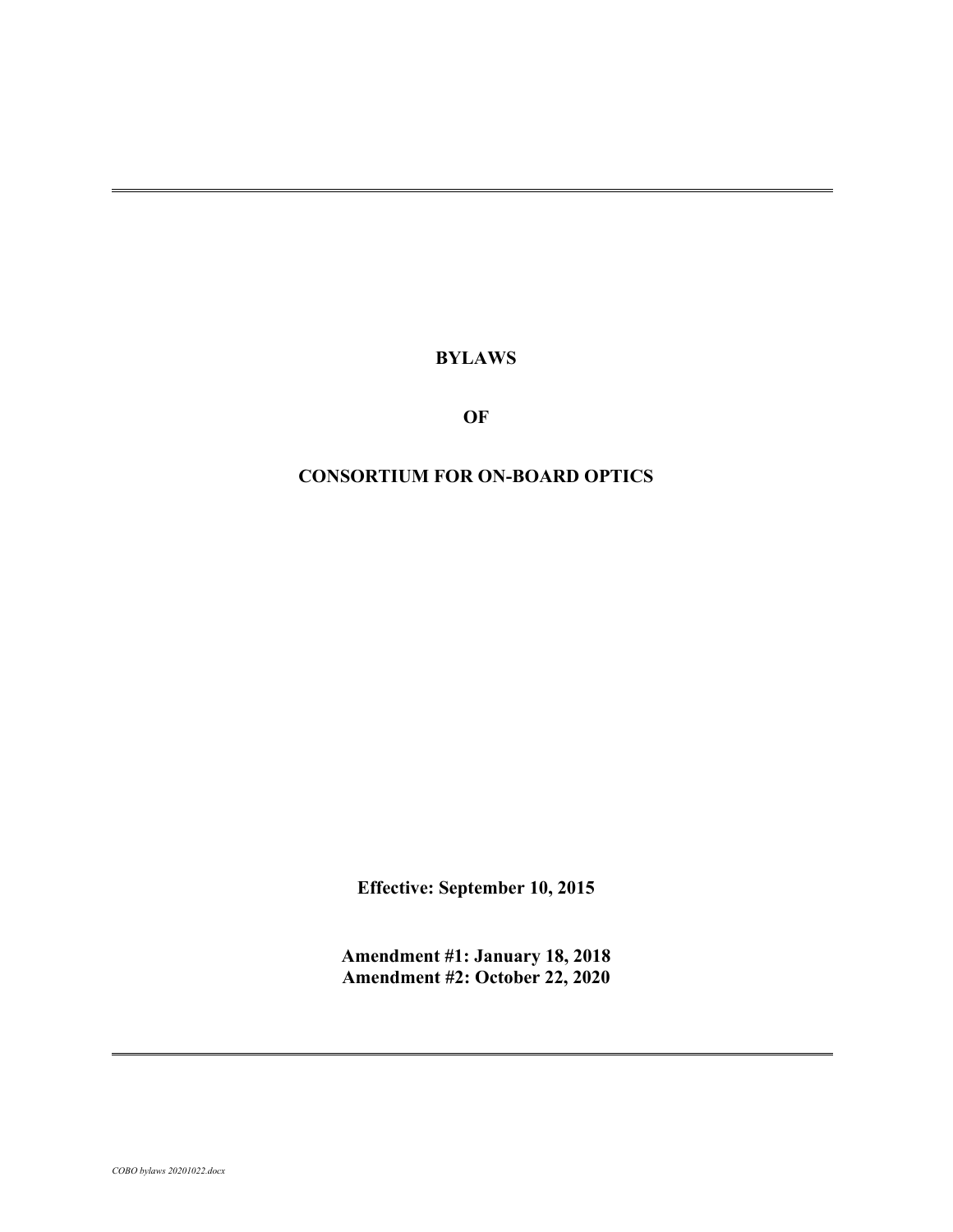**BYLAWS**

**OF**

## **CONSORTIUM FOR ON-BOARD OPTICS**

**Effective: September 10, 2015**

**Amendment #1: January 18, 2018 Amendment #2: October 22, 2020**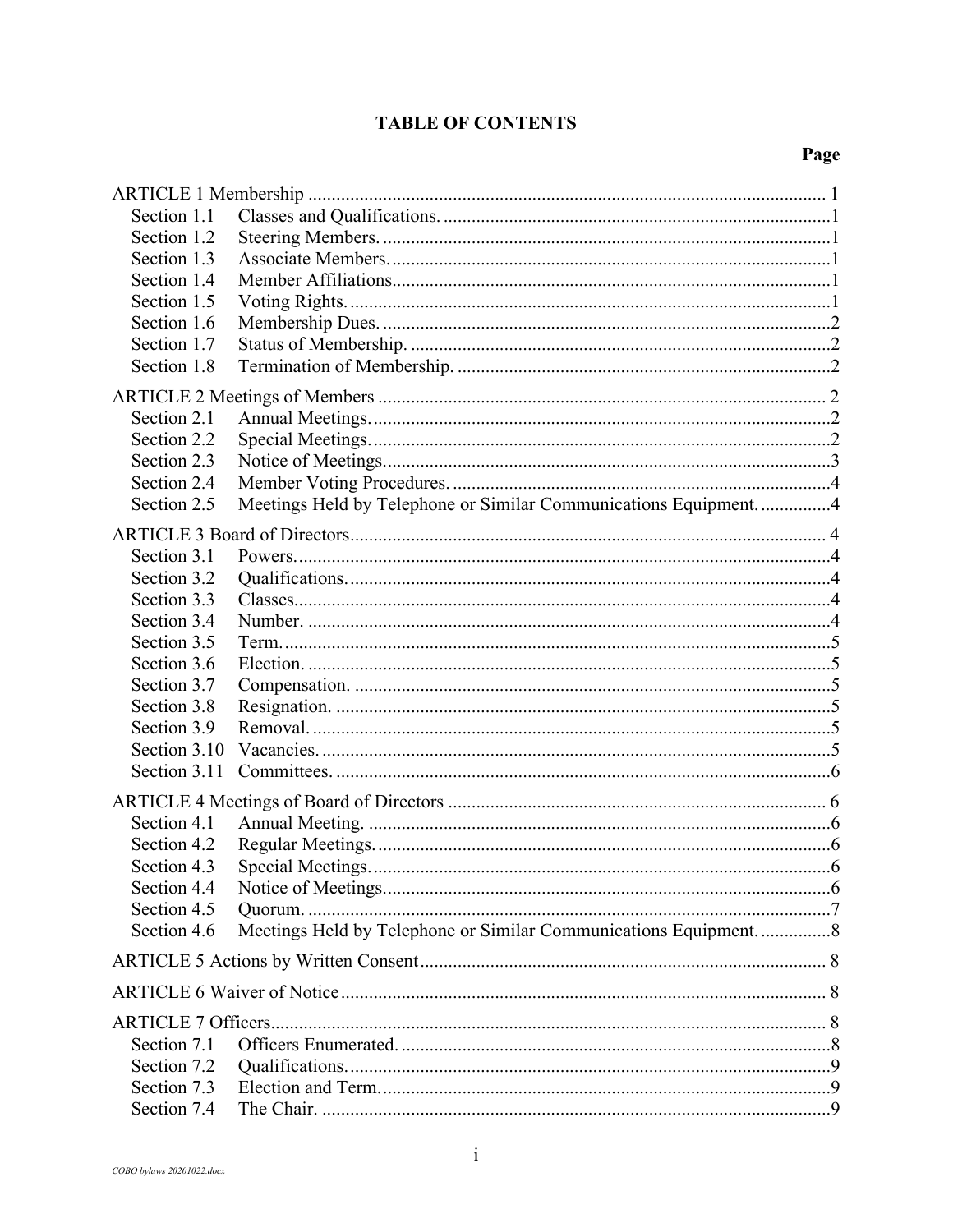# **TABLE OF CONTENTS**

# Page

| Section 1.1  |                                                                   |  |  |  |
|--------------|-------------------------------------------------------------------|--|--|--|
| Section 1.2  |                                                                   |  |  |  |
| Section 1.3  |                                                                   |  |  |  |
| Section 1.4  |                                                                   |  |  |  |
| Section 1.5  |                                                                   |  |  |  |
| Section 1.6  |                                                                   |  |  |  |
| Section 1.7  |                                                                   |  |  |  |
| Section 1.8  |                                                                   |  |  |  |
|              |                                                                   |  |  |  |
| Section 2.1  |                                                                   |  |  |  |
| Section 2.2  |                                                                   |  |  |  |
| Section 2.3  |                                                                   |  |  |  |
| Section 2.4  |                                                                   |  |  |  |
| Section 2.5  | Meetings Held by Telephone or Similar Communications Equipment. 4 |  |  |  |
|              |                                                                   |  |  |  |
| Section 3.1  |                                                                   |  |  |  |
| Section 3.2  |                                                                   |  |  |  |
| Section 3.3  |                                                                   |  |  |  |
| Section 3.4  |                                                                   |  |  |  |
|              |                                                                   |  |  |  |
| Section 3.5  |                                                                   |  |  |  |
| Section 3.6  |                                                                   |  |  |  |
| Section 3.7  |                                                                   |  |  |  |
| Section 3.8  |                                                                   |  |  |  |
| Section 3.9  |                                                                   |  |  |  |
| Section 3.10 |                                                                   |  |  |  |
| Section 3.11 |                                                                   |  |  |  |
|              |                                                                   |  |  |  |
| Section 4.1  |                                                                   |  |  |  |
| Section 4.2  |                                                                   |  |  |  |
| Section 4.3  |                                                                   |  |  |  |
| Section 4.4  |                                                                   |  |  |  |
| Section 4.5  |                                                                   |  |  |  |
| Section 4.6  | Meetings Held by Telephone or Similar Communications Equipment. 8 |  |  |  |
|              |                                                                   |  |  |  |
|              |                                                                   |  |  |  |
|              |                                                                   |  |  |  |
| Section 7.1  |                                                                   |  |  |  |
| Section 7.2  |                                                                   |  |  |  |
| Section 7.3  |                                                                   |  |  |  |
| Section 7.4  |                                                                   |  |  |  |
|              |                                                                   |  |  |  |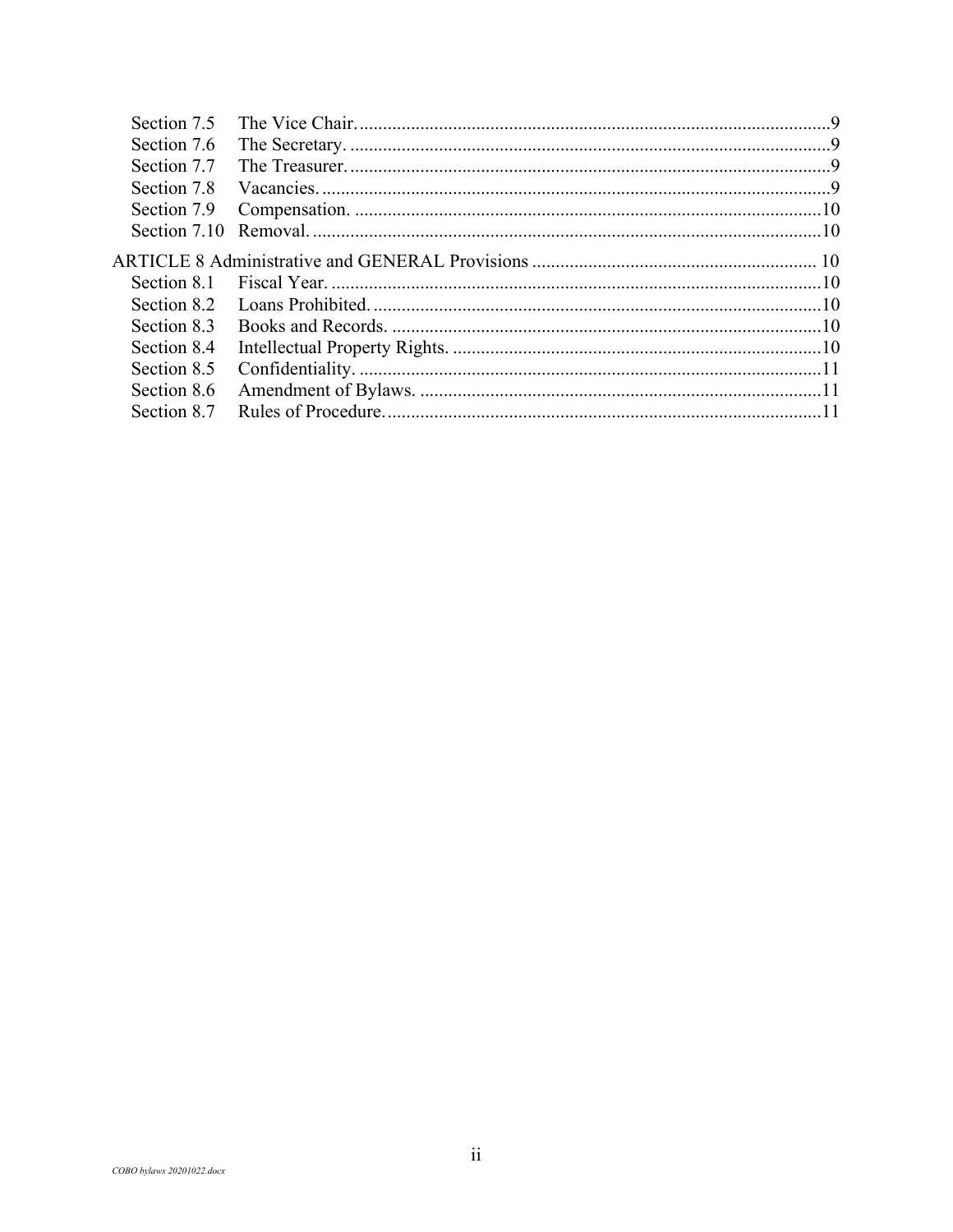| Section 7.5  |  |
|--------------|--|
| Section 7.6  |  |
| Section 7.7  |  |
| Section 7.8  |  |
| Section 7.9  |  |
| Section 7.10 |  |
|              |  |
| Section 8.1  |  |
| Section 8.2  |  |
| Section 8.3  |  |
| Section 8.4  |  |
| Section 8.5  |  |
| Section 8.6  |  |
| Section 8.7  |  |
|              |  |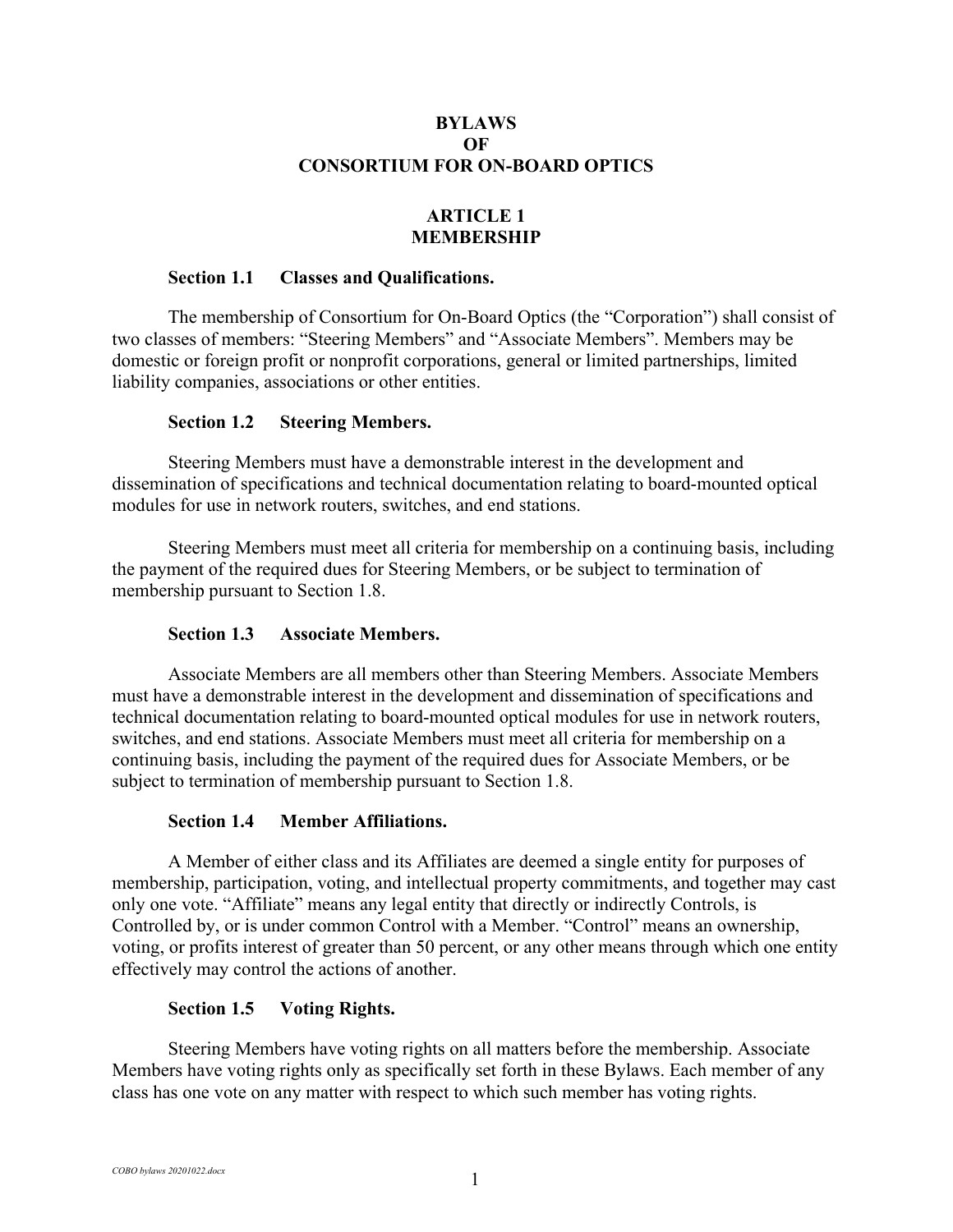## **BYLAWS OF CONSORTIUM FOR ON-BOARD OPTICS**

## **ARTICLE 1 MEMBERSHIP**

#### **Section 1.1 Classes and Qualifications.**

The membership of Consortium for On-Board Optics (the "Corporation") shall consist of two classes of members: "Steering Members" and "Associate Members". Members may be domestic or foreign profit or nonprofit corporations, general or limited partnerships, limited liability companies, associations or other entities.

### **Section 1.2 Steering Members.**

Steering Members must have a demonstrable interest in the development and dissemination of specifications and technical documentation relating to board-mounted optical modules for use in network routers, switches, and end stations.

Steering Members must meet all criteria for membership on a continuing basis, including the payment of the required dues for Steering Members, or be subject to termination of membership pursuant to Section 1.8.

### **Section 1.3 Associate Members.**

Associate Members are all members other than Steering Members. Associate Members must have a demonstrable interest in the development and dissemination of specifications and technical documentation relating to board-mounted optical modules for use in network routers, switches, and end stations. Associate Members must meet all criteria for membership on a continuing basis, including the payment of the required dues for Associate Members, or be subject to termination of membership pursuant to Section 1.8.

## **Section 1.4 Member Affiliations.**

A Member of either class and its Affiliates are deemed a single entity for purposes of membership, participation, voting, and intellectual property commitments, and together may cast only one vote. "Affiliate" means any legal entity that directly or indirectly Controls, is Controlled by, or is under common Control with a Member. "Control" means an ownership, voting, or profits interest of greater than 50 percent, or any other means through which one entity effectively may control the actions of another.

## **Section 1.5 Voting Rights.**

Steering Members have voting rights on all matters before the membership. Associate Members have voting rights only as specifically set forth in these Bylaws. Each member of any class has one vote on any matter with respect to which such member has voting rights.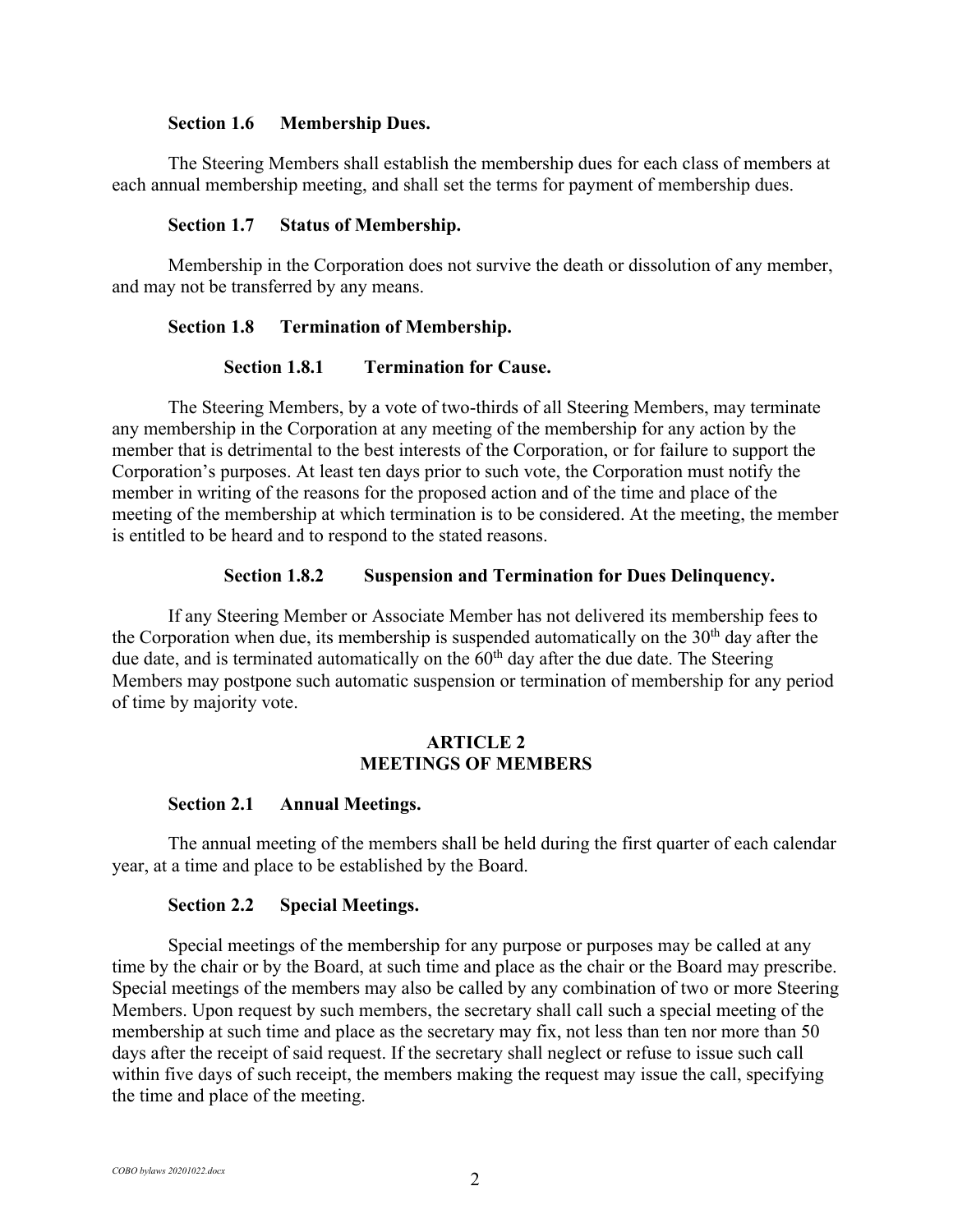#### **Section 1.6 Membership Dues.**

The Steering Members shall establish the membership dues for each class of members at each annual membership meeting, and shall set the terms for payment of membership dues.

#### **Section 1.7 Status of Membership.**

Membership in the Corporation does not survive the death or dissolution of any member, and may not be transferred by any means.

#### **Section 1.8 Termination of Membership.**

#### **Section 1.8.1 Termination for Cause.**

The Steering Members, by a vote of two-thirds of all Steering Members, may terminate any membership in the Corporation at any meeting of the membership for any action by the member that is detrimental to the best interests of the Corporation, or for failure to support the Corporation's purposes. At least ten days prior to such vote, the Corporation must notify the member in writing of the reasons for the proposed action and of the time and place of the meeting of the membership at which termination is to be considered. At the meeting, the member is entitled to be heard and to respond to the stated reasons.

### **Section 1.8.2 Suspension and Termination for Dues Delinquency.**

If any Steering Member or Associate Member has not delivered its membership fees to the Corporation when due, its membership is suspended automatically on the  $30<sup>th</sup>$  day after the due date, and is terminated automatically on the  $60<sup>th</sup>$  day after the due date. The Steering Members may postpone such automatic suspension or termination of membership for any period of time by majority vote.

## **ARTICLE 2 MEETINGS OF MEMBERS**

#### **Section 2.1 Annual Meetings.**

The annual meeting of the members shall be held during the first quarter of each calendar year, at a time and place to be established by the Board.

#### **Section 2.2 Special Meetings.**

Special meetings of the membership for any purpose or purposes may be called at any time by the chair or by the Board, at such time and place as the chair or the Board may prescribe. Special meetings of the members may also be called by any combination of two or more Steering Members. Upon request by such members, the secretary shall call such a special meeting of the membership at such time and place as the secretary may fix, not less than ten nor more than 50 days after the receipt of said request. If the secretary shall neglect or refuse to issue such call within five days of such receipt, the members making the request may issue the call, specifying the time and place of the meeting.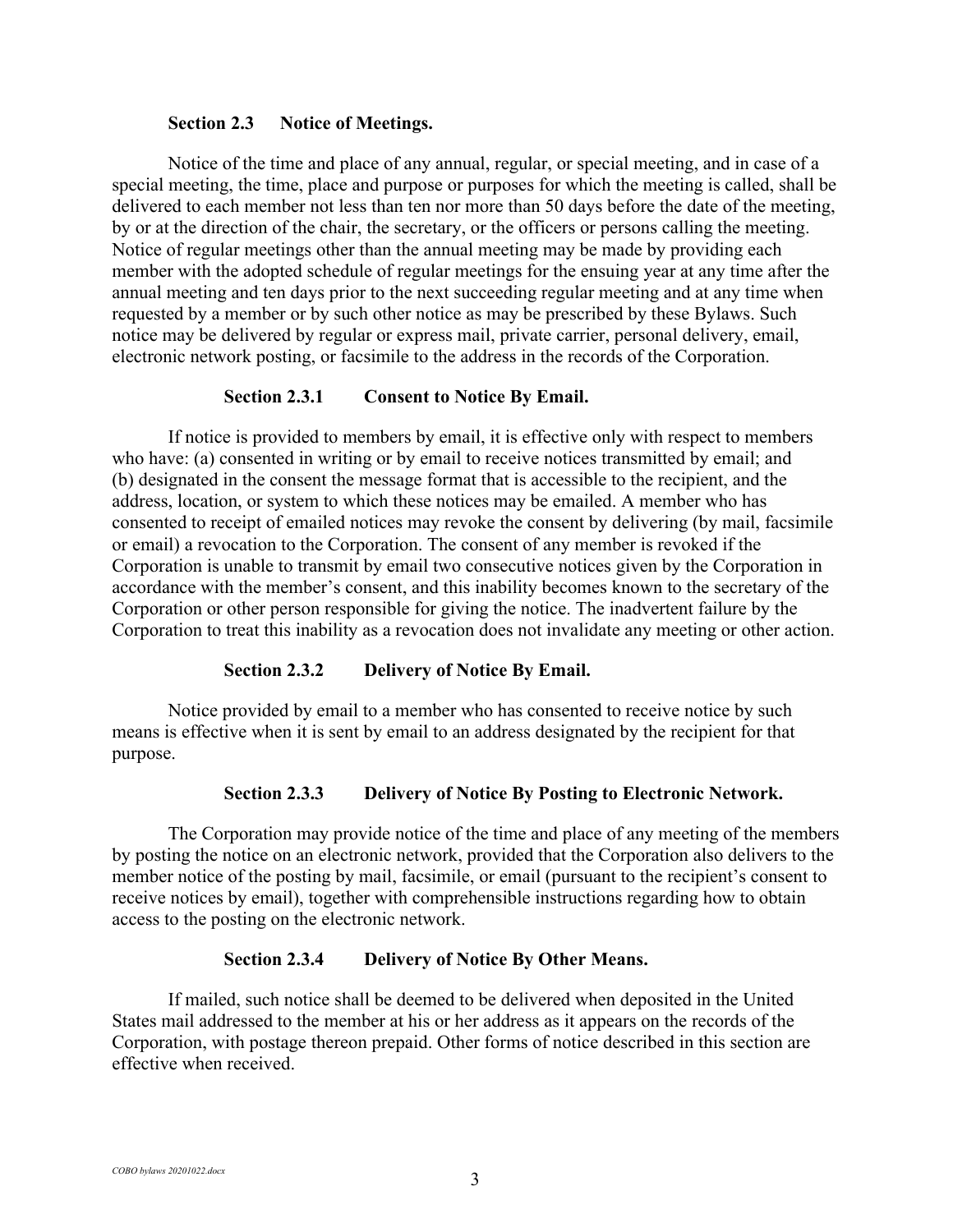#### **Section 2.3 Notice of Meetings.**

Notice of the time and place of any annual, regular, or special meeting, and in case of a special meeting, the time, place and purpose or purposes for which the meeting is called, shall be delivered to each member not less than ten nor more than 50 days before the date of the meeting, by or at the direction of the chair, the secretary, or the officers or persons calling the meeting. Notice of regular meetings other than the annual meeting may be made by providing each member with the adopted schedule of regular meetings for the ensuing year at any time after the annual meeting and ten days prior to the next succeeding regular meeting and at any time when requested by a member or by such other notice as may be prescribed by these Bylaws. Such notice may be delivered by regular or express mail, private carrier, personal delivery, email, electronic network posting, or facsimile to the address in the records of the Corporation.

### **Section 2.3.1 Consent to Notice By Email.**

If notice is provided to members by email, it is effective only with respect to members who have: (a) consented in writing or by email to receive notices transmitted by email; and (b) designated in the consent the message format that is accessible to the recipient, and the address, location, or system to which these notices may be emailed. A member who has consented to receipt of emailed notices may revoke the consent by delivering (by mail, facsimile or email) a revocation to the Corporation. The consent of any member is revoked if the Corporation is unable to transmit by email two consecutive notices given by the Corporation in accordance with the member's consent, and this inability becomes known to the secretary of the Corporation or other person responsible for giving the notice. The inadvertent failure by the Corporation to treat this inability as a revocation does not invalidate any meeting or other action.

### **Section 2.3.2 Delivery of Notice By Email.**

Notice provided by email to a member who has consented to receive notice by such means is effective when it is sent by email to an address designated by the recipient for that purpose.

#### **Section 2.3.3 Delivery of Notice By Posting to Electronic Network.**

The Corporation may provide notice of the time and place of any meeting of the members by posting the notice on an electronic network, provided that the Corporation also delivers to the member notice of the posting by mail, facsimile, or email (pursuant to the recipient's consent to receive notices by email), together with comprehensible instructions regarding how to obtain access to the posting on the electronic network.

#### **Section 2.3.4 Delivery of Notice By Other Means.**

If mailed, such notice shall be deemed to be delivered when deposited in the United States mail addressed to the member at his or her address as it appears on the records of the Corporation, with postage thereon prepaid. Other forms of notice described in this section are effective when received.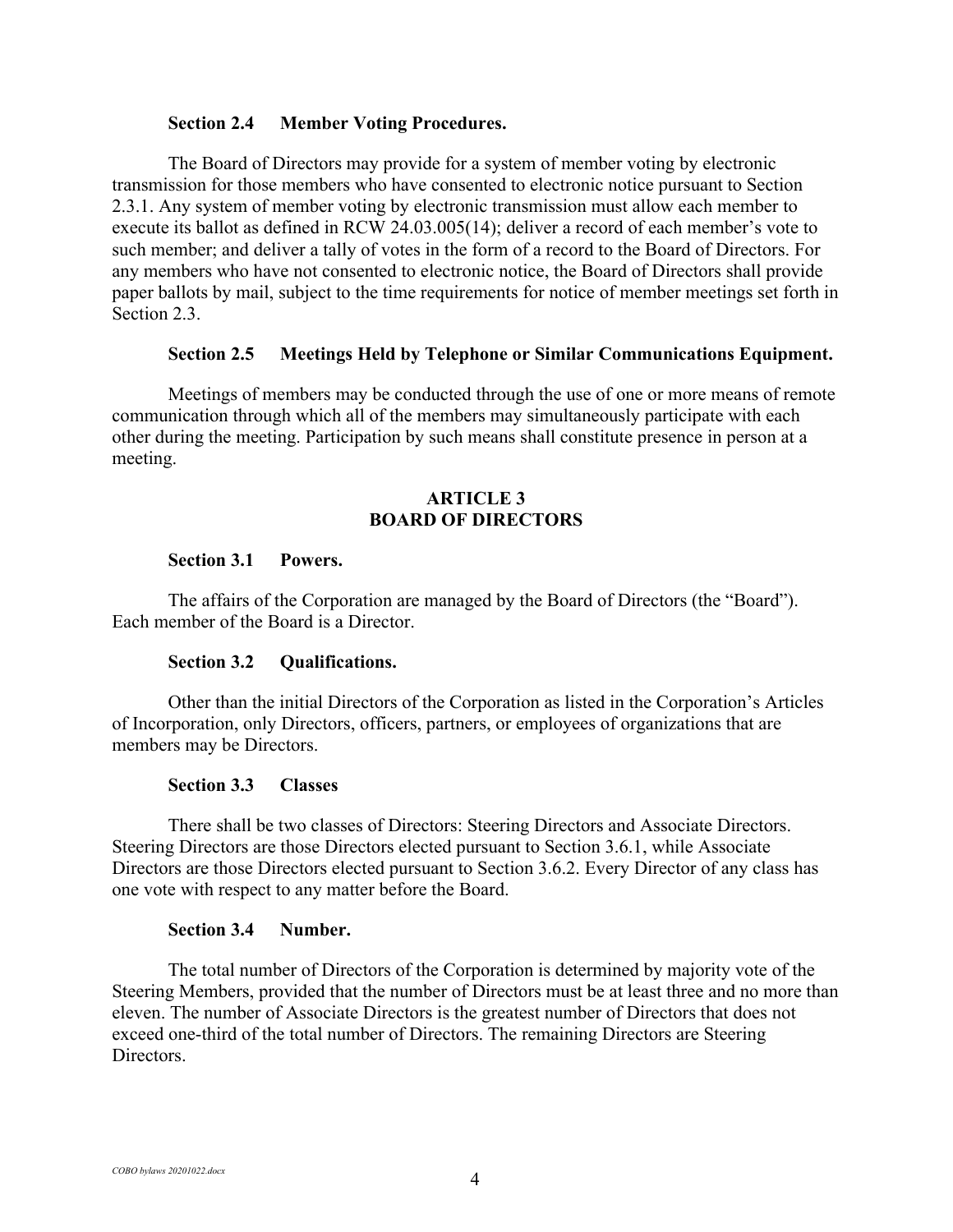#### **Section 2.4 Member Voting Procedures.**

The Board of Directors may provide for a system of member voting by electronic transmission for those members who have consented to electronic notice pursuant to Section 2.3.1. Any system of member voting by electronic transmission must allow each member to execute its ballot as defined in RCW 24.03.005(14); deliver a record of each member's vote to such member; and deliver a tally of votes in the form of a record to the Board of Directors. For any members who have not consented to electronic notice, the Board of Directors shall provide paper ballots by mail, subject to the time requirements for notice of member meetings set forth in Section 2.3.

#### **Section 2.5 Meetings Held by Telephone or Similar Communications Equipment.**

Meetings of members may be conducted through the use of one or more means of remote communication through which all of the members may simultaneously participate with each other during the meeting. Participation by such means shall constitute presence in person at a meeting.

## **ARTICLE 3 BOARD OF DIRECTORS**

### **Section 3.1 Powers.**

The affairs of the Corporation are managed by the Board of Directors (the "Board"). Each member of the Board is a Director.

#### **Section 3.2 Qualifications.**

Other than the initial Directors of the Corporation as listed in the Corporation's Articles of Incorporation, only Directors, officers, partners, or employees of organizations that are members may be Directors.

#### **Section 3.3 Classes**

There shall be two classes of Directors: Steering Directors and Associate Directors. Steering Directors are those Directors elected pursuant to Section 3.6.1, while Associate Directors are those Directors elected pursuant to Section 3.6.2. Every Director of any class has one vote with respect to any matter before the Board.

#### **Section 3.4 Number.**

The total number of Directors of the Corporation is determined by majority vote of the Steering Members, provided that the number of Directors must be at least three and no more than eleven. The number of Associate Directors is the greatest number of Directors that does not exceed one-third of the total number of Directors. The remaining Directors are Steering Directors.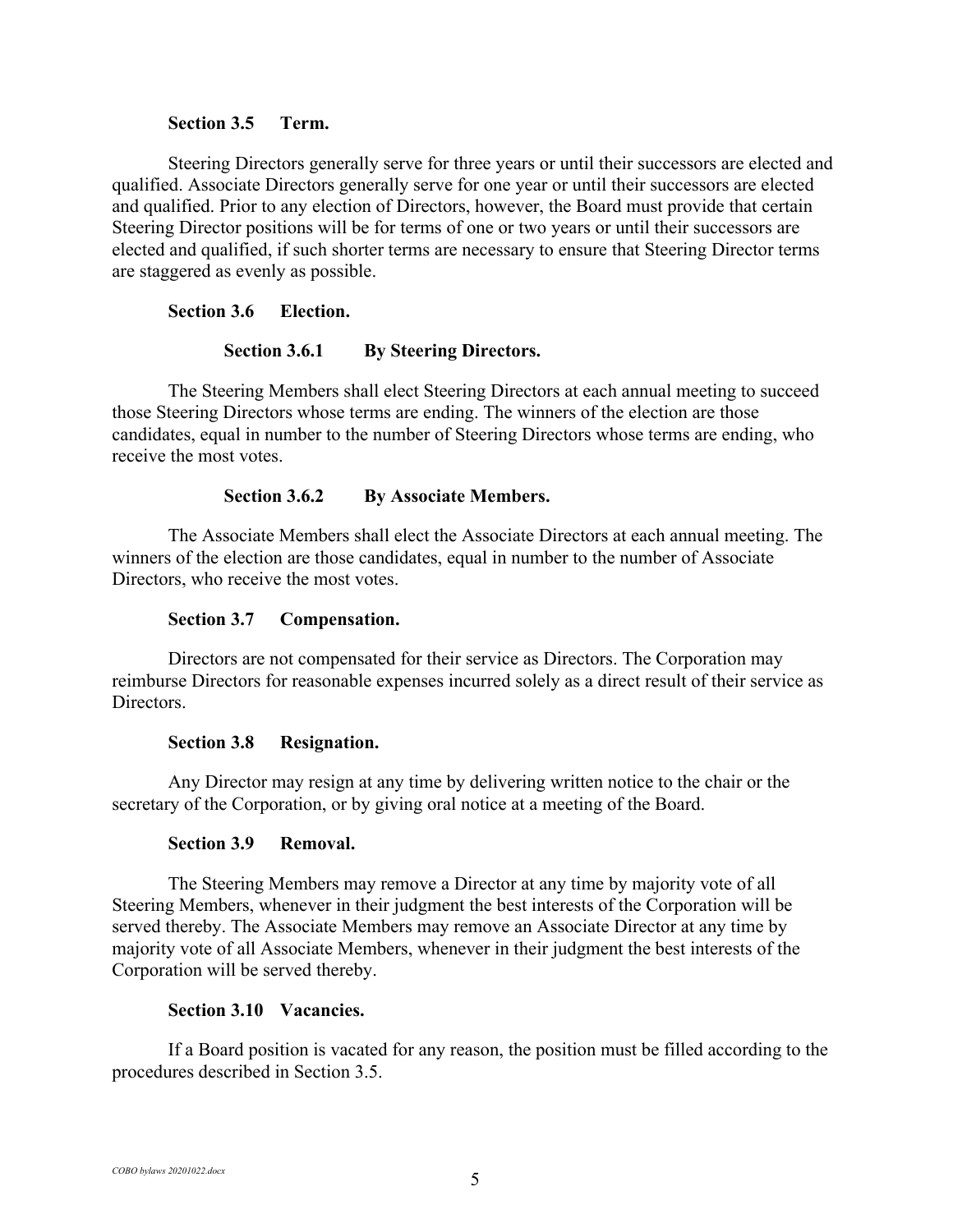#### **Section 3.5 Term.**

Steering Directors generally serve for three years or until their successors are elected and qualified. Associate Directors generally serve for one year or until their successors are elected and qualified. Prior to any election of Directors, however, the Board must provide that certain Steering Director positions will be for terms of one or two years or until their successors are elected and qualified, if such shorter terms are necessary to ensure that Steering Director terms are staggered as evenly as possible.

### **Section 3.6 Election.**

### **Section 3.6.1 By Steering Directors.**

The Steering Members shall elect Steering Directors at each annual meeting to succeed those Steering Directors whose terms are ending. The winners of the election are those candidates, equal in number to the number of Steering Directors whose terms are ending, who receive the most votes.

### **Section 3.6.2 By Associate Members.**

The Associate Members shall elect the Associate Directors at each annual meeting. The winners of the election are those candidates, equal in number to the number of Associate Directors, who receive the most votes.

#### **Section 3.7 Compensation.**

Directors are not compensated for their service as Directors. The Corporation may reimburse Directors for reasonable expenses incurred solely as a direct result of their service as Directors.

#### **Section 3.8 Resignation.**

Any Director may resign at any time by delivering written notice to the chair or the secretary of the Corporation, or by giving oral notice at a meeting of the Board.

#### **Section 3.9 Removal.**

The Steering Members may remove a Director at any time by majority vote of all Steering Members, whenever in their judgment the best interests of the Corporation will be served thereby. The Associate Members may remove an Associate Director at any time by majority vote of all Associate Members, whenever in their judgment the best interests of the Corporation will be served thereby.

#### **Section 3.10 Vacancies.**

If a Board position is vacated for any reason, the position must be filled according to the procedures described in Section 3.5.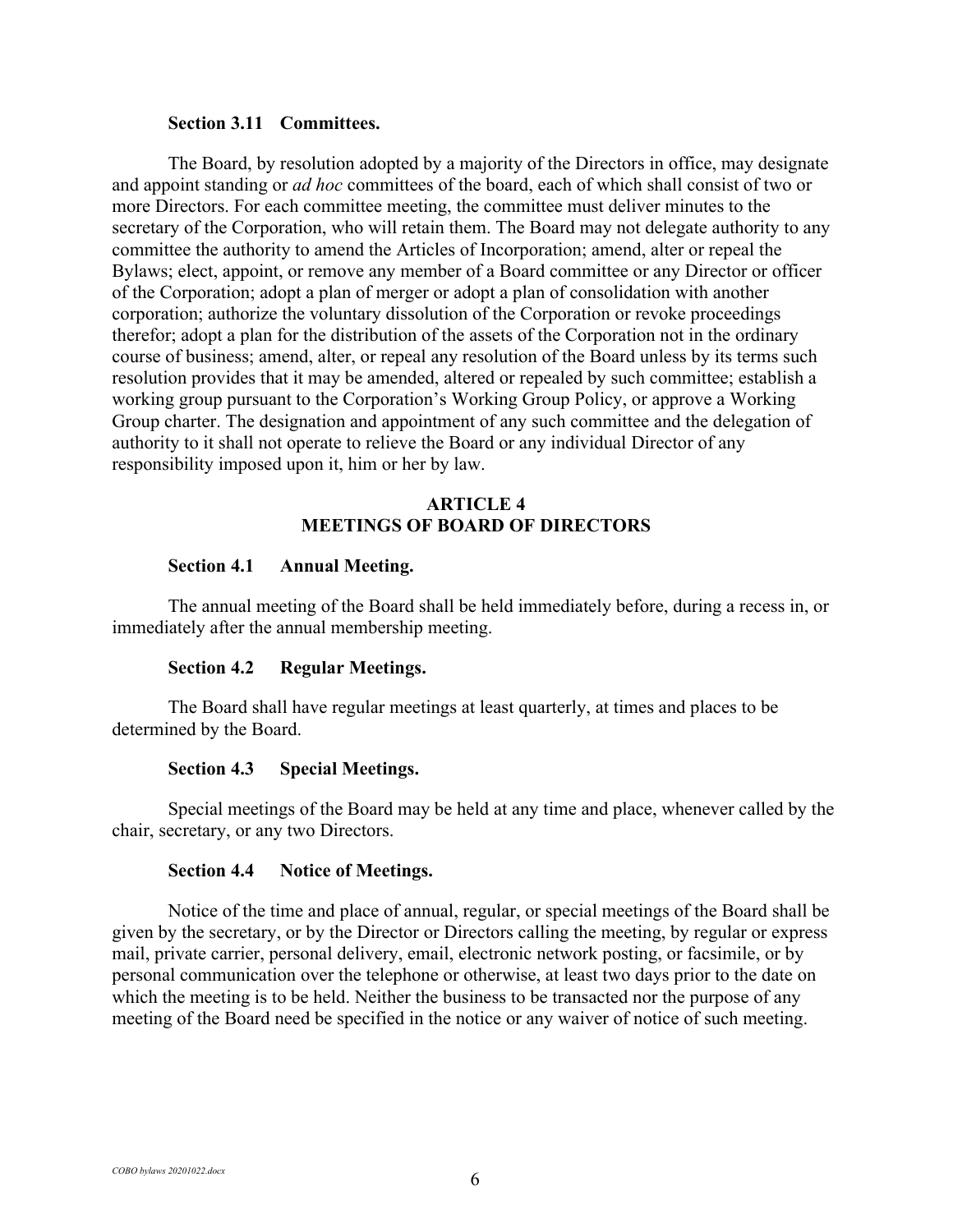#### **Section 3.11 Committees.**

The Board, by resolution adopted by a majority of the Directors in office, may designate and appoint standing or *ad hoc* committees of the board, each of which shall consist of two or more Directors. For each committee meeting, the committee must deliver minutes to the secretary of the Corporation, who will retain them. The Board may not delegate authority to any committee the authority to amend the Articles of Incorporation; amend, alter or repeal the Bylaws; elect, appoint, or remove any member of a Board committee or any Director or officer of the Corporation; adopt a plan of merger or adopt a plan of consolidation with another corporation; authorize the voluntary dissolution of the Corporation or revoke proceedings therefor; adopt a plan for the distribution of the assets of the Corporation not in the ordinary course of business; amend, alter, or repeal any resolution of the Board unless by its terms such resolution provides that it may be amended, altered or repealed by such committee; establish a working group pursuant to the Corporation's Working Group Policy, or approve a Working Group charter. The designation and appointment of any such committee and the delegation of authority to it shall not operate to relieve the Board or any individual Director of any responsibility imposed upon it, him or her by law.

## **ARTICLE 4 MEETINGS OF BOARD OF DIRECTORS**

#### **Section 4.1 Annual Meeting.**

The annual meeting of the Board shall be held immediately before, during a recess in, or immediately after the annual membership meeting.

### **Section 4.2 Regular Meetings.**

The Board shall have regular meetings at least quarterly, at times and places to be determined by the Board.

#### **Section 4.3 Special Meetings.**

Special meetings of the Board may be held at any time and place, whenever called by the chair, secretary, or any two Directors.

#### **Section 4.4 Notice of Meetings.**

Notice of the time and place of annual, regular, or special meetings of the Board shall be given by the secretary, or by the Director or Directors calling the meeting, by regular or express mail, private carrier, personal delivery, email, electronic network posting, or facsimile, or by personal communication over the telephone or otherwise, at least two days prior to the date on which the meeting is to be held. Neither the business to be transacted nor the purpose of any meeting of the Board need be specified in the notice or any waiver of notice of such meeting.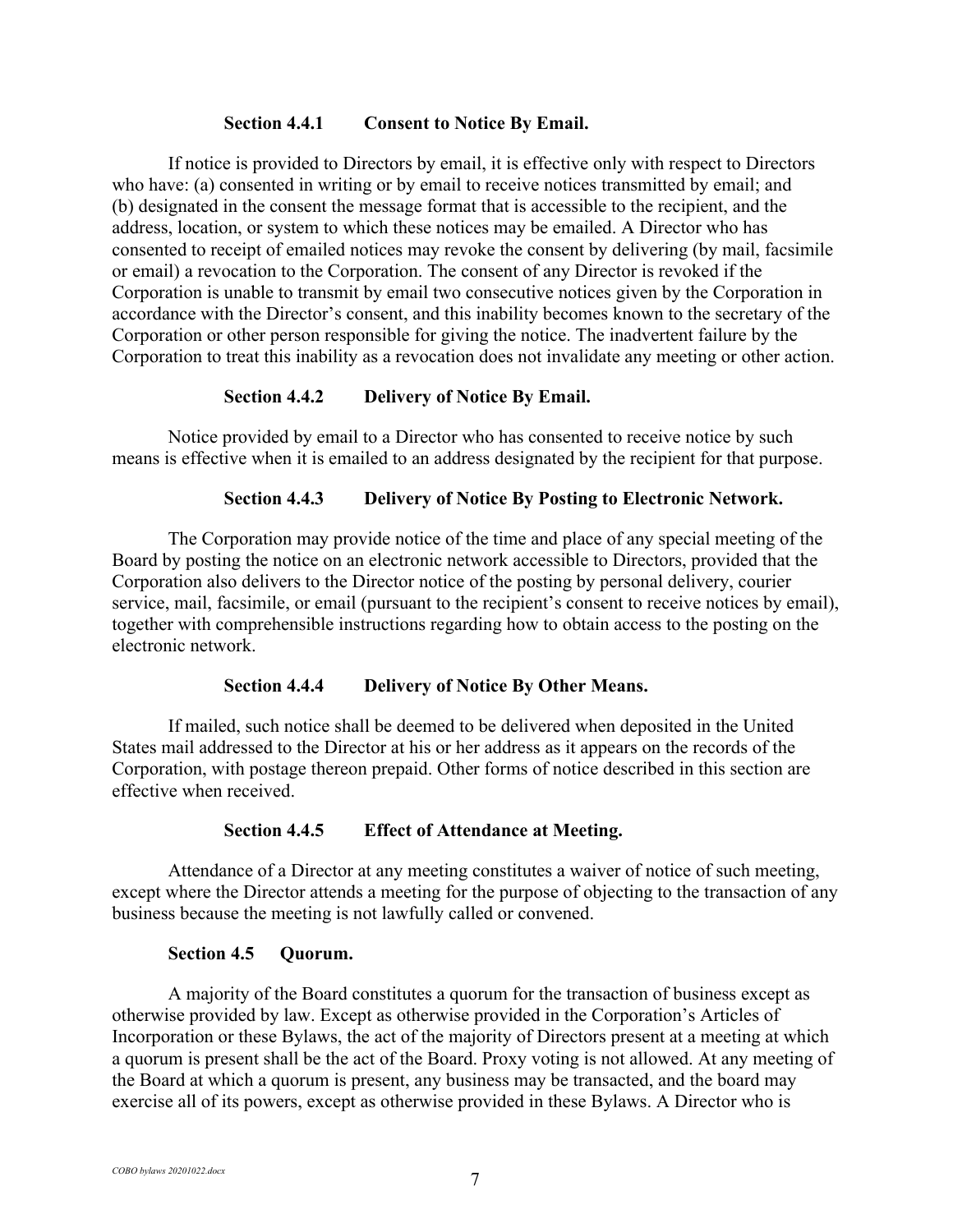## **Section 4.4.1 Consent to Notice By Email.**

If notice is provided to Directors by email, it is effective only with respect to Directors who have: (a) consented in writing or by email to receive notices transmitted by email; and (b) designated in the consent the message format that is accessible to the recipient, and the address, location, or system to which these notices may be emailed. A Director who has consented to receipt of emailed notices may revoke the consent by delivering (by mail, facsimile or email) a revocation to the Corporation. The consent of any Director is revoked if the Corporation is unable to transmit by email two consecutive notices given by the Corporation in accordance with the Director's consent, and this inability becomes known to the secretary of the Corporation or other person responsible for giving the notice. The inadvertent failure by the Corporation to treat this inability as a revocation does not invalidate any meeting or other action.

## **Section 4.4.2 Delivery of Notice By Email.**

Notice provided by email to a Director who has consented to receive notice by such means is effective when it is emailed to an address designated by the recipient for that purpose.

## **Section 4.4.3 Delivery of Notice By Posting to Electronic Network.**

The Corporation may provide notice of the time and place of any special meeting of the Board by posting the notice on an electronic network accessible to Directors, provided that the Corporation also delivers to the Director notice of the posting by personal delivery, courier service, mail, facsimile, or email (pursuant to the recipient's consent to receive notices by email), together with comprehensible instructions regarding how to obtain access to the posting on the electronic network.

### **Section 4.4.4 Delivery of Notice By Other Means.**

If mailed, such notice shall be deemed to be delivered when deposited in the United States mail addressed to the Director at his or her address as it appears on the records of the Corporation, with postage thereon prepaid. Other forms of notice described in this section are effective when received.

### **Section 4.4.5 Effect of Attendance at Meeting.**

Attendance of a Director at any meeting constitutes a waiver of notice of such meeting, except where the Director attends a meeting for the purpose of objecting to the transaction of any business because the meeting is not lawfully called or convened.

### **Section 4.5 Quorum.**

A majority of the Board constitutes a quorum for the transaction of business except as otherwise provided by law. Except as otherwise provided in the Corporation's Articles of Incorporation or these Bylaws, the act of the majority of Directors present at a meeting at which a quorum is present shall be the act of the Board. Proxy voting is not allowed. At any meeting of the Board at which a quorum is present, any business may be transacted, and the board may exercise all of its powers, except as otherwise provided in these Bylaws. A Director who is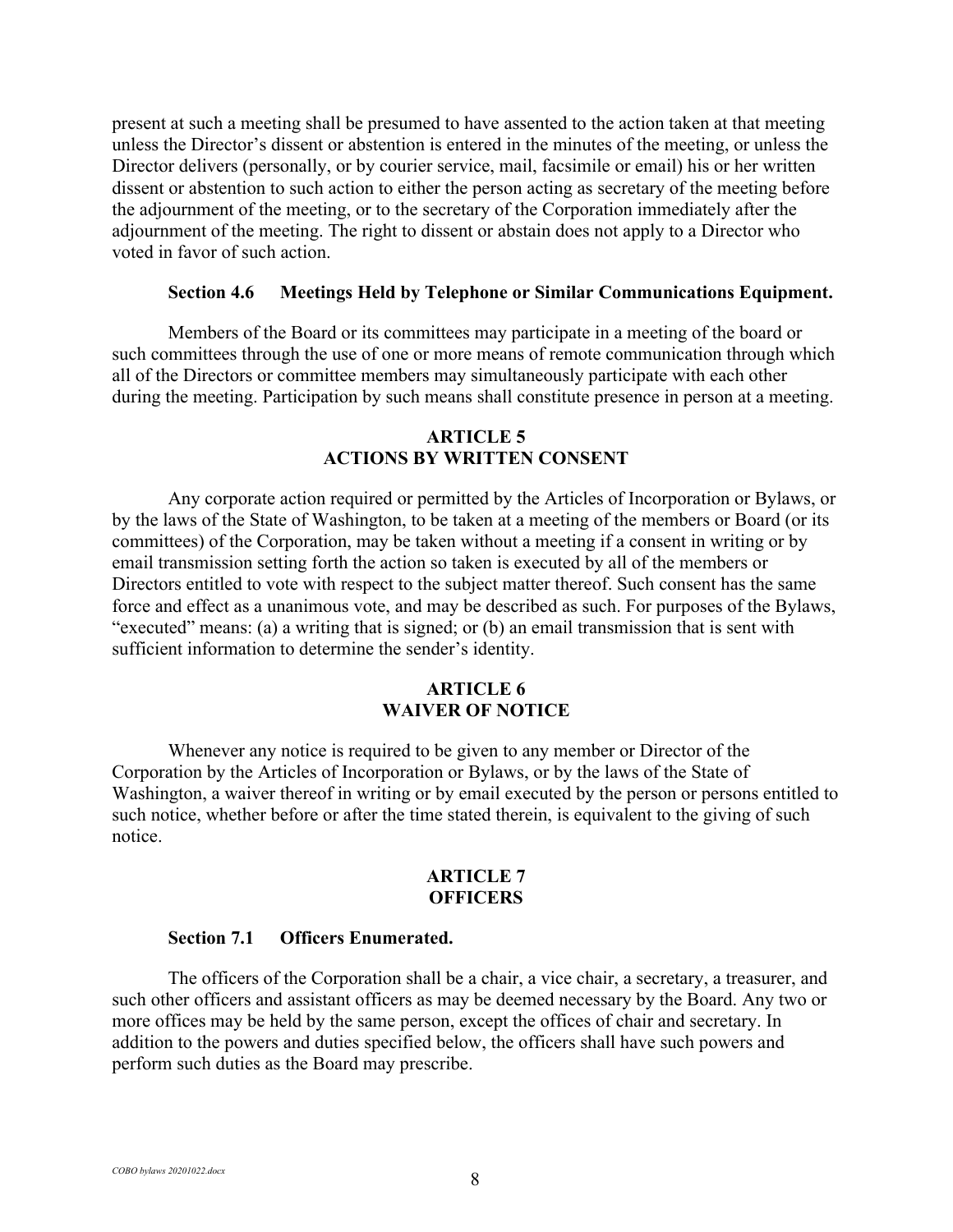present at such a meeting shall be presumed to have assented to the action taken at that meeting unless the Director's dissent or abstention is entered in the minutes of the meeting, or unless the Director delivers (personally, or by courier service, mail, facsimile or email) his or her written dissent or abstention to such action to either the person acting as secretary of the meeting before the adjournment of the meeting, or to the secretary of the Corporation immediately after the adjournment of the meeting. The right to dissent or abstain does not apply to a Director who voted in favor of such action.

#### **Section 4.6 Meetings Held by Telephone or Similar Communications Equipment.**

Members of the Board or its committees may participate in a meeting of the board or such committees through the use of one or more means of remote communication through which all of the Directors or committee members may simultaneously participate with each other during the meeting. Participation by such means shall constitute presence in person at a meeting.

## **ARTICLE 5 ACTIONS BY WRITTEN CONSENT**

Any corporate action required or permitted by the Articles of Incorporation or Bylaws, or by the laws of the State of Washington, to be taken at a meeting of the members or Board (or its committees) of the Corporation, may be taken without a meeting if a consent in writing or by email transmission setting forth the action so taken is executed by all of the members or Directors entitled to vote with respect to the subject matter thereof. Such consent has the same force and effect as a unanimous vote, and may be described as such. For purposes of the Bylaws, "executed" means: (a) a writing that is signed; or (b) an email transmission that is sent with sufficient information to determine the sender's identity.

## **ARTICLE 6 WAIVER OF NOTICE**

Whenever any notice is required to be given to any member or Director of the Corporation by the Articles of Incorporation or Bylaws, or by the laws of the State of Washington, a waiver thereof in writing or by email executed by the person or persons entitled to such notice, whether before or after the time stated therein, is equivalent to the giving of such notice.

## **ARTICLE 7 OFFICERS**

#### **Section 7.1 Officers Enumerated.**

The officers of the Corporation shall be a chair, a vice chair, a secretary, a treasurer, and such other officers and assistant officers as may be deemed necessary by the Board. Any two or more offices may be held by the same person, except the offices of chair and secretary. In addition to the powers and duties specified below, the officers shall have such powers and perform such duties as the Board may prescribe.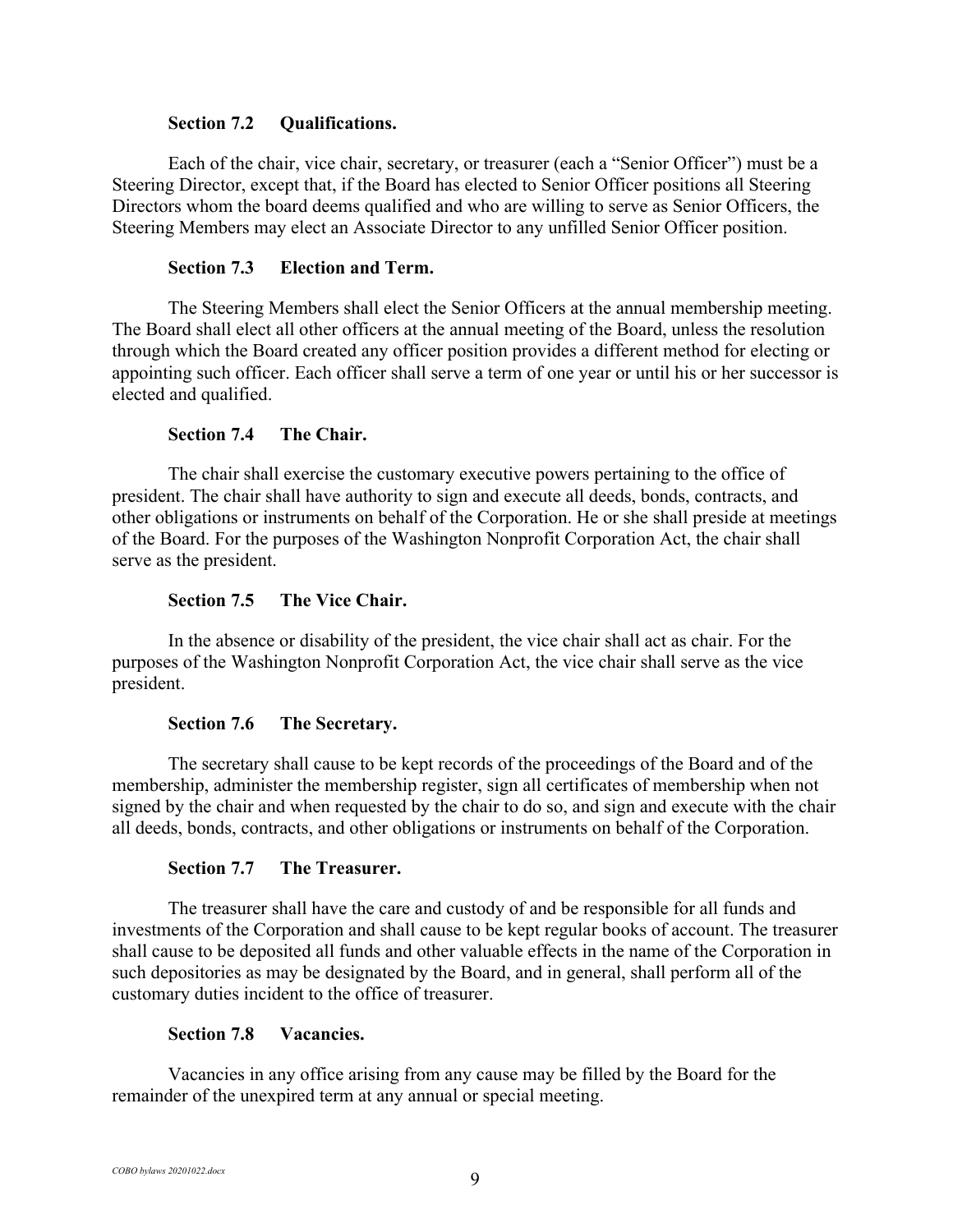### **Section 7.2 Qualifications.**

Each of the chair, vice chair, secretary, or treasurer (each a "Senior Officer") must be a Steering Director, except that, if the Board has elected to Senior Officer positions all Steering Directors whom the board deems qualified and who are willing to serve as Senior Officers, the Steering Members may elect an Associate Director to any unfilled Senior Officer position.

## **Section 7.3 Election and Term.**

The Steering Members shall elect the Senior Officers at the annual membership meeting. The Board shall elect all other officers at the annual meeting of the Board, unless the resolution through which the Board created any officer position provides a different method for electing or appointing such officer. Each officer shall serve a term of one year or until his or her successor is elected and qualified.

## **Section 7.4 The Chair.**

The chair shall exercise the customary executive powers pertaining to the office of president. The chair shall have authority to sign and execute all deeds, bonds, contracts, and other obligations or instruments on behalf of the Corporation. He or she shall preside at meetings of the Board. For the purposes of the Washington Nonprofit Corporation Act, the chair shall serve as the president.

## **Section 7.5 The Vice Chair.**

In the absence or disability of the president, the vice chair shall act as chair. For the purposes of the Washington Nonprofit Corporation Act, the vice chair shall serve as the vice president.

### **Section 7.6 The Secretary.**

The secretary shall cause to be kept records of the proceedings of the Board and of the membership, administer the membership register, sign all certificates of membership when not signed by the chair and when requested by the chair to do so, and sign and execute with the chair all deeds, bonds, contracts, and other obligations or instruments on behalf of the Corporation.

### **Section 7.7 The Treasurer.**

The treasurer shall have the care and custody of and be responsible for all funds and investments of the Corporation and shall cause to be kept regular books of account. The treasurer shall cause to be deposited all funds and other valuable effects in the name of the Corporation in such depositories as may be designated by the Board, and in general, shall perform all of the customary duties incident to the office of treasurer.

## **Section 7.8 Vacancies.**

Vacancies in any office arising from any cause may be filled by the Board for the remainder of the unexpired term at any annual or special meeting.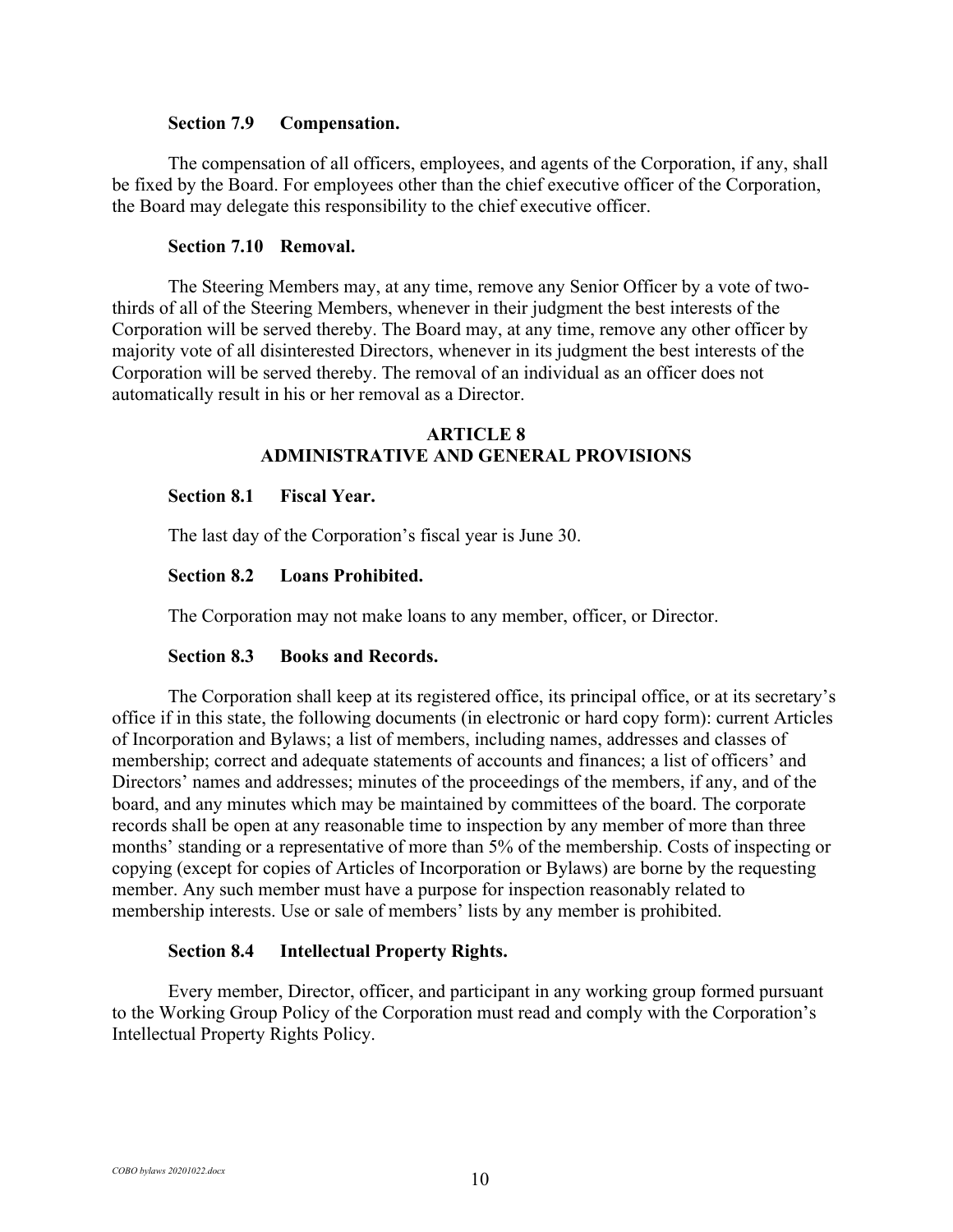#### **Section 7.9 Compensation.**

The compensation of all officers, employees, and agents of the Corporation, if any, shall be fixed by the Board. For employees other than the chief executive officer of the Corporation, the Board may delegate this responsibility to the chief executive officer.

#### **Section 7.10 Removal.**

The Steering Members may, at any time, remove any Senior Officer by a vote of twothirds of all of the Steering Members, whenever in their judgment the best interests of the Corporation will be served thereby. The Board may, at any time, remove any other officer by majority vote of all disinterested Directors, whenever in its judgment the best interests of the Corporation will be served thereby. The removal of an individual as an officer does not automatically result in his or her removal as a Director.

## **ARTICLE 8 ADMINISTRATIVE AND GENERAL PROVISIONS**

#### **Section 8.1 Fiscal Year.**

The last day of the Corporation's fiscal year is June 30.

#### **Section 8.2 Loans Prohibited.**

The Corporation may not make loans to any member, officer, or Director.

#### **Section 8.3 Books and Records.**

The Corporation shall keep at its registered office, its principal office, or at its secretary's office if in this state, the following documents (in electronic or hard copy form): current Articles of Incorporation and Bylaws; a list of members, including names, addresses and classes of membership; correct and adequate statements of accounts and finances; a list of officers' and Directors' names and addresses; minutes of the proceedings of the members, if any, and of the board, and any minutes which may be maintained by committees of the board. The corporate records shall be open at any reasonable time to inspection by any member of more than three months' standing or a representative of more than 5% of the membership. Costs of inspecting or copying (except for copies of Articles of Incorporation or Bylaws) are borne by the requesting member. Any such member must have a purpose for inspection reasonably related to membership interests. Use or sale of members' lists by any member is prohibited.

#### **Section 8.4 Intellectual Property Rights.**

Every member, Director, officer, and participant in any working group formed pursuant to the Working Group Policy of the Corporation must read and comply with the Corporation's Intellectual Property Rights Policy.